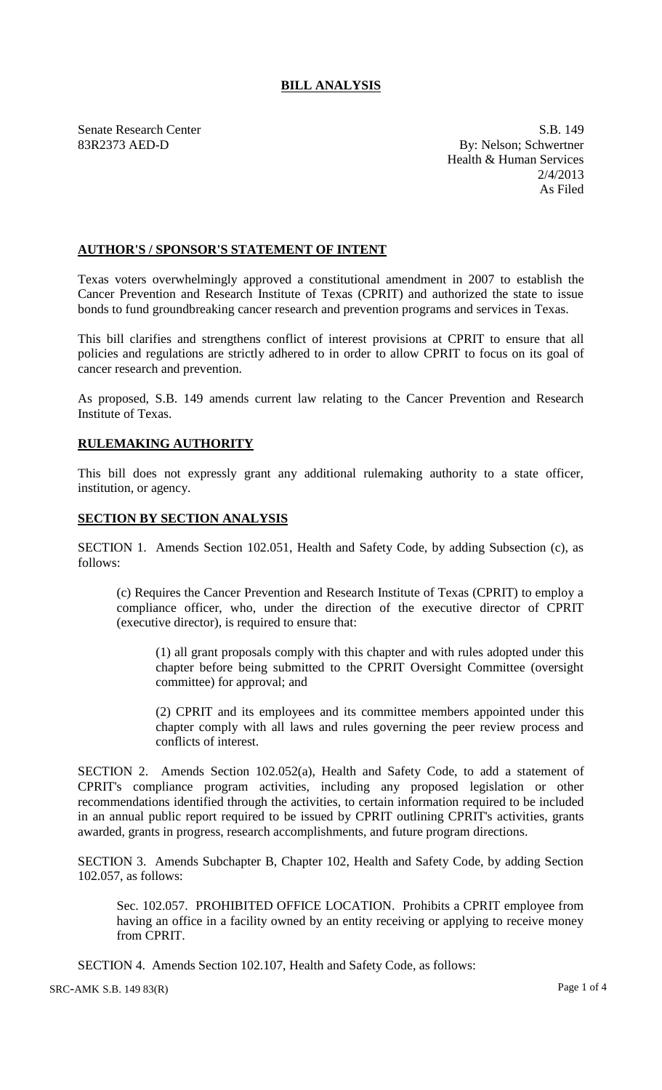## **BILL ANALYSIS**

Senate Research Center S.B. 149 83R2373 AED-D By: Nelson; Schwertner Health & Human Services 2/4/2013 As Filed

## **AUTHOR'S / SPONSOR'S STATEMENT OF INTENT**

Texas voters overwhelmingly approved a constitutional amendment in 2007 to establish the Cancer Prevention and Research Institute of Texas (CPRIT) and authorized the state to issue bonds to fund groundbreaking cancer research and prevention programs and services in Texas.

This bill clarifies and strengthens conflict of interest provisions at CPRIT to ensure that all policies and regulations are strictly adhered to in order to allow CPRIT to focus on its goal of cancer research and prevention.

As proposed, S.B. 149 amends current law relating to the Cancer Prevention and Research Institute of Texas.

## **RULEMAKING AUTHORITY**

This bill does not expressly grant any additional rulemaking authority to a state officer, institution, or agency.

## **SECTION BY SECTION ANALYSIS**

SECTION 1. Amends Section 102.051, Health and Safety Code, by adding Subsection (c), as follows:

(c) Requires the Cancer Prevention and Research Institute of Texas (CPRIT) to employ a compliance officer, who, under the direction of the executive director of CPRIT (executive director), is required to ensure that:

(1) all grant proposals comply with this chapter and with rules adopted under this chapter before being submitted to the CPRIT Oversight Committee (oversight committee) for approval; and

(2) CPRIT and its employees and its committee members appointed under this chapter comply with all laws and rules governing the peer review process and conflicts of interest.

SECTION 2. Amends Section 102.052(a), Health and Safety Code, to add a statement of CPRIT's compliance program activities, including any proposed legislation or other recommendations identified through the activities, to certain information required to be included in an annual public report required to be issued by CPRIT outlining CPRIT's activities, grants awarded, grants in progress, research accomplishments, and future program directions.

SECTION 3. Amends Subchapter B, Chapter 102, Health and Safety Code, by adding Section 102.057, as follows:

Sec. 102.057. PROHIBITED OFFICE LOCATION. Prohibits a CPRIT employee from having an office in a facility owned by an entity receiving or applying to receive money from CPRIT.

SECTION 4. Amends Section 102.107, Health and Safety Code, as follows: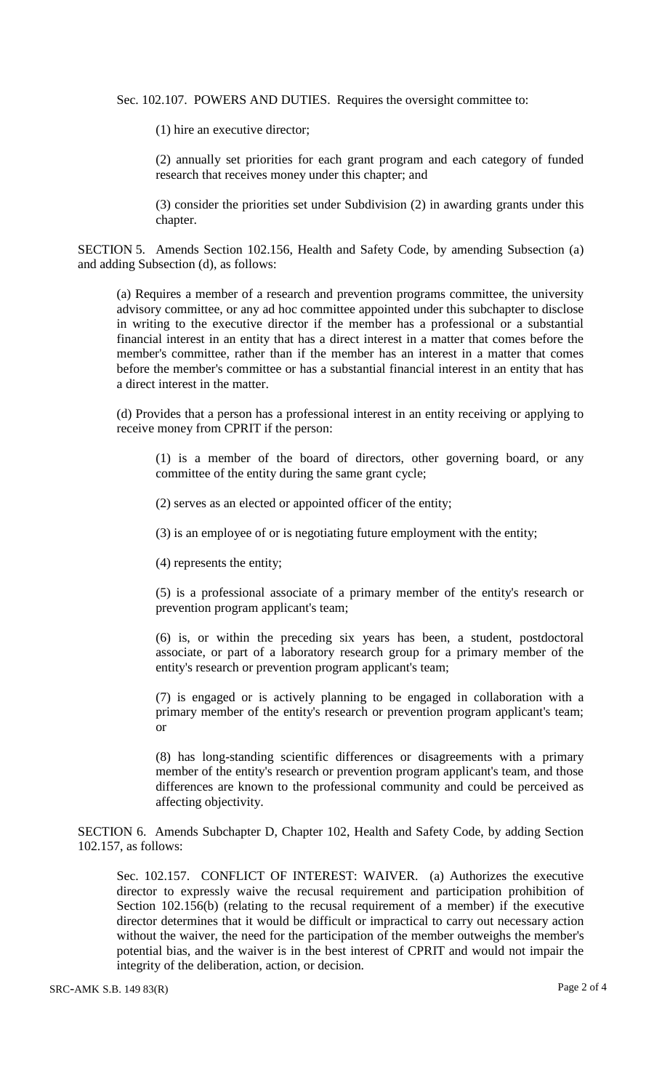Sec. 102.107. POWERS AND DUTIES. Requires the oversight committee to:

(1) hire an executive director;

(2) annually set priorities for each grant program and each category of funded research that receives money under this chapter; and

(3) consider the priorities set under Subdivision (2) in awarding grants under this chapter.

SECTION 5. Amends Section 102.156, Health and Safety Code, by amending Subsection (a) and adding Subsection (d), as follows:

(a) Requires a member of a research and prevention programs committee, the university advisory committee, or any ad hoc committee appointed under this subchapter to disclose in writing to the executive director if the member has a professional or a substantial financial interest in an entity that has a direct interest in a matter that comes before the member's committee, rather than if the member has an interest in a matter that comes before the member's committee or has a substantial financial interest in an entity that has a direct interest in the matter.

(d) Provides that a person has a professional interest in an entity receiving or applying to receive money from CPRIT if the person:

(1) is a member of the board of directors, other governing board, or any committee of the entity during the same grant cycle;

(2) serves as an elected or appointed officer of the entity;

(3) is an employee of or is negotiating future employment with the entity;

(4) represents the entity;

(5) is a professional associate of a primary member of the entity's research or prevention program applicant's team;

(6) is, or within the preceding six years has been, a student, postdoctoral associate, or part of a laboratory research group for a primary member of the entity's research or prevention program applicant's team;

(7) is engaged or is actively planning to be engaged in collaboration with a primary member of the entity's research or prevention program applicant's team; or

(8) has long-standing scientific differences or disagreements with a primary member of the entity's research or prevention program applicant's team, and those differences are known to the professional community and could be perceived as affecting objectivity.

SECTION 6. Amends Subchapter D, Chapter 102, Health and Safety Code, by adding Section 102.157, as follows:

Sec. 102.157. CONFLICT OF INTEREST: WAIVER. (a) Authorizes the executive director to expressly waive the recusal requirement and participation prohibition of Section 102.156(b) (relating to the recusal requirement of a member) if the executive director determines that it would be difficult or impractical to carry out necessary action without the waiver, the need for the participation of the member outweighs the member's potential bias, and the waiver is in the best interest of CPRIT and would not impair the integrity of the deliberation, action, or decision.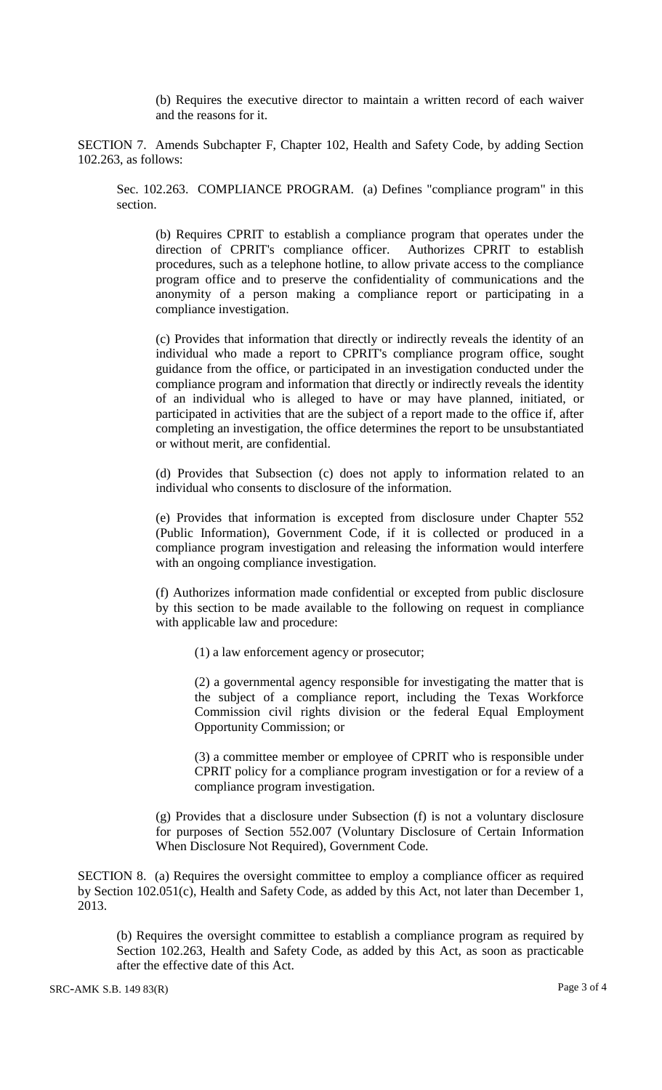(b) Requires the executive director to maintain a written record of each waiver and the reasons for it.

SECTION 7. Amends Subchapter F, Chapter 102, Health and Safety Code, by adding Section 102.263, as follows:

Sec. 102.263. COMPLIANCE PROGRAM. (a) Defines "compliance program" in this section.

(b) Requires CPRIT to establish a compliance program that operates under the direction of CPRIT's compliance officer. Authorizes CPRIT to establish procedures, such as a telephone hotline, to allow private access to the compliance program office and to preserve the confidentiality of communications and the anonymity of a person making a compliance report or participating in a compliance investigation.

(c) Provides that information that directly or indirectly reveals the identity of an individual who made a report to CPRIT's compliance program office, sought guidance from the office, or participated in an investigation conducted under the compliance program and information that directly or indirectly reveals the identity of an individual who is alleged to have or may have planned, initiated, or participated in activities that are the subject of a report made to the office if, after completing an investigation, the office determines the report to be unsubstantiated or without merit, are confidential.

(d) Provides that Subsection (c) does not apply to information related to an individual who consents to disclosure of the information.

(e) Provides that information is excepted from disclosure under Chapter 552 (Public Information), Government Code, if it is collected or produced in a compliance program investigation and releasing the information would interfere with an ongoing compliance investigation.

(f) Authorizes information made confidential or excepted from public disclosure by this section to be made available to the following on request in compliance with applicable law and procedure:

(1) a law enforcement agency or prosecutor;

(2) a governmental agency responsible for investigating the matter that is the subject of a compliance report, including the Texas Workforce Commission civil rights division or the federal Equal Employment Opportunity Commission; or

(3) a committee member or employee of CPRIT who is responsible under CPRIT policy for a compliance program investigation or for a review of a compliance program investigation.

(g) Provides that a disclosure under Subsection (f) is not a voluntary disclosure for purposes of Section 552.007 (Voluntary Disclosure of Certain Information When Disclosure Not Required), Government Code.

SECTION 8. (a) Requires the oversight committee to employ a compliance officer as required by Section 102.051(c), Health and Safety Code, as added by this Act, not later than December 1, 2013.

(b) Requires the oversight committee to establish a compliance program as required by Section 102.263, Health and Safety Code, as added by this Act, as soon as practicable after the effective date of this Act.